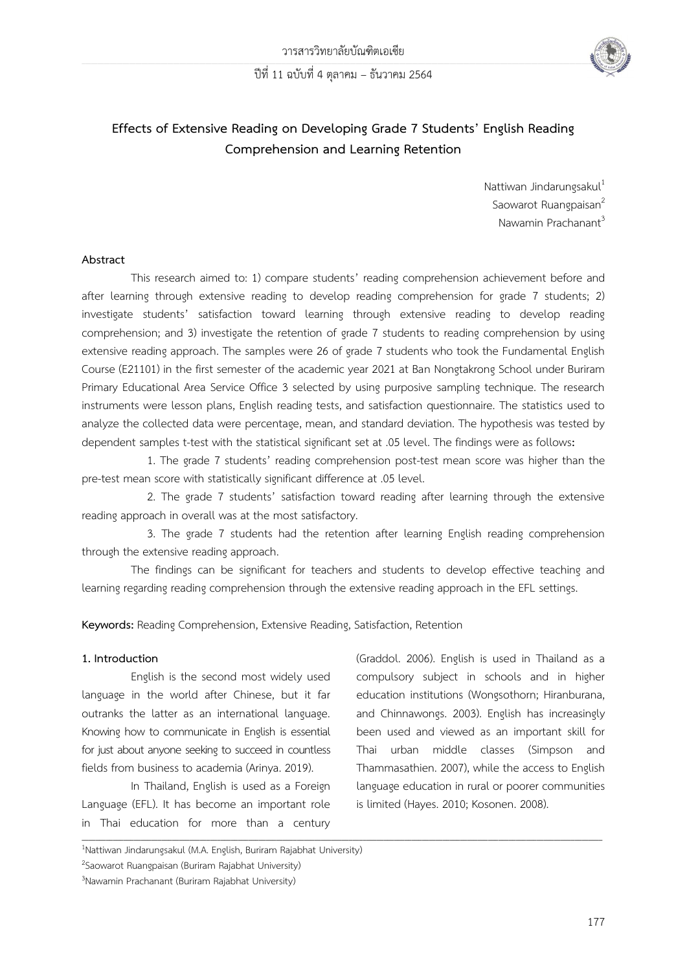

# **Effects of Extensive Reading on Developing Grade 7 Students' English Reading Comprehension and Learning Retention**

Nattiwan Jindarungsaku $l^1$ Saowarot Ruangpaisan<sup>2</sup> Nawamin Prachanant<sup>3</sup>

#### **Abstract**

This research aimed to: 1) compare students' reading comprehension achievement before and after learning through extensive reading to develop reading comprehension for grade 7 students; 2) investigate students' satisfaction toward learning through extensive reading to develop reading comprehension; and 3) investigate the retention of grade 7 students to reading comprehension by using extensive reading approach. The samples were 26 of grade 7 students who took the Fundamental English Course (E21101) in the first semester of the academic year 2021 at Ban Nongtakrong School under Buriram Primary Educational Area Service Office 3 selected by using purposive sampling technique. The research instruments were lesson plans, English reading tests, and satisfaction questionnaire. The statistics used to analyze the collected data were percentage, mean, and standard deviation. The hypothesis was tested by dependent samples t-test with the statistical significant set at .05 level. The findings were as follows**:**

1. The grade 7 students' reading comprehension post-test mean score was higher than the pre-test mean score with statistically significant difference at .05 level.

2. The grade 7 students' satisfaction toward reading after learning through the extensive reading approach in overall was at the most satisfactory.

3. The grade 7 students had the retention after learning English reading comprehension through the extensive reading approach.

The findings can be significant for teachers and students to develop effective teaching and learning regarding reading comprehension through the extensive reading approach in the EFL settings.

**\_\_\_\_\_\_\_\_\_\_\_\_\_\_\_\_\_\_\_\_\_\_\_\_\_\_\_\_\_\_\_\_\_\_\_\_\_\_\_\_\_\_\_\_\_\_\_\_\_\_\_\_\_\_\_\_\_\_\_\_\_\_\_\_\_\_\_\_\_\_\_\_\_\_\_\_\_\_\_\_\_\_\_\_\_\_\_\_\_\_\_\_\_\_\_\_\_\_\_\_\_\_\_\_\_\_\_\_\_\_\_\_\_\_\_\_\_\_\_\_\_\_\_\_\_\_\_\_\_\_\_\_\_\_\_\_\_\_\_\_\_\_\_\_\_\_\_\_\_\_**

**Keywords:** Reading Comprehension, Extensive Reading, Satisfaction, Retention

#### **1. Introduction**

English is the second most widely used language in the world after Chinese, but it far outranks the latter as an international language. Knowing how to communicate in English is essential for just about anyone seeking to succeed in countless fields from business to academia (Arinya. 2019).

In Thailand, English is used as a Foreign Language (EFL). It has become an important role in Thai education for more than a century

(Graddol. 2006). English is used in Thailand as a compulsory subject in schools and in higher education institutions (Wongsothorn; Hiranburana, and Chinnawongs. 2003). English has increasingly been used and viewed as an important skill for Thai urban middle classes (Simpson and Thammasathien. 2007), while the access to English language education in rural or poorer communities is limited (Hayes. 2010; Kosonen. 2008).

<sup>1</sup>Nattiwan Jindarungsakul (M.A. English, Buriram Rajabhat University)

<sup>&</sup>lt;sup>2</sup>Saowarot Ruangpaisan (Buriram Rajabhat University)

<sup>3</sup>Nawamin Prachanant (Buriram Rajabhat University)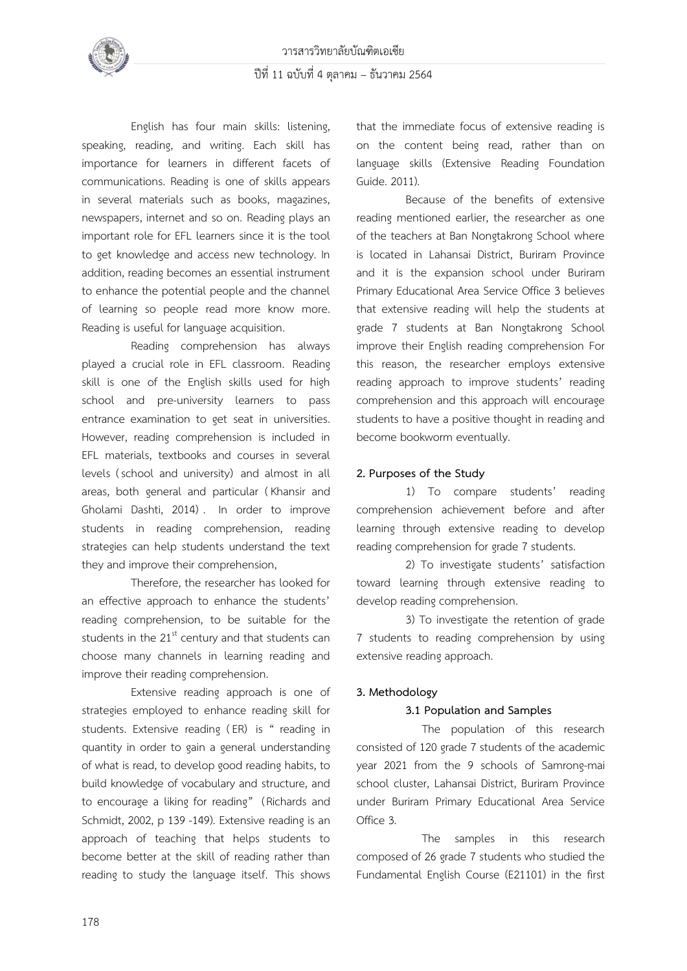

English has four main skills: listening, speaking, reading, and writing. Each skill has importance for learners in different facets of communications. Reading is one of skills appears in several materials such as books, magazines, newspapers, internet and so on. Reading plays an important role for EFL learners since it is the tool to get knowledge and access new technology. In addition, reading becomes an essential instrument to enhance the potential people and the channel of learning so people read more know more. Reading is useful for language acquisition.

Reading comprehension has always played a crucial role in EFL classroom. Reading skill is one of the English skills used for high school and pre-university learners to pass entrance examination to get seat in universities. However, reading comprehension is included in EFL materials, textbooks and courses in several levels (school and university) and almost in all areas, both general and particular (Khansir and Gholami Dashti, 2014) . In order to improve students in reading comprehension, reading strategies can help students understand the text they and improve their comprehension,

Therefore, the researcher has looked for an effective approach to enhance the students' reading comprehension, to be suitable for the students in the  $21<sup>st</sup>$  century and that students can choose many channels in learning reading and improve their reading comprehension.

Extensive reading approach is one of strategies employed to enhance reading skill for students. Extensive reading (ER) is " reading in quantity in order to gain a general understanding of what is read, to develop good reading habits, to build knowledge of vocabulary and structure, and to encourage a liking for reading" (Richards and Schmidt, 2002, p 139 -149). Extensive reading is an approach of teaching that helps students to become better at the skill of reading rather than reading to study the language itself. This shows that the immediate focus of extensive reading is on the content being read, rather than on language skills (Extensive Reading Foundation Guide. 2011).

Because of the benefits of extensive reading mentioned earlier, the researcher as one of the teachers at Ban Nongtakrong School where is located in Lahansai District, Buriram Province and it is the expansion school under Buriram Primary Educational Area Service Office 3 believes that extensive reading will help the students at grade 7 students at Ban Nongtakrong School improve their English reading comprehension For this reason, the researcher employs extensive reading approach to improve students' reading comprehension and this approach will encourage students to have a positive thought in reading and become bookworm eventually.

### **2. Purposes of the Study**

1) To compare students' reading comprehension achievement before and after learning through extensive reading to develop reading comprehension for grade 7 students.

2) To investigate students' satisfaction toward learning through extensive reading to develop reading comprehension.

3) To investigate the retention of grade 7 students to reading comprehension by using extensive reading approach.

### **3. Methodology**

#### **3.1 Population and Samples**

The population of this research consisted of 120 grade 7 students of the academic year 2021 from the 9 schools of Samrong-mai school cluster, Lahansai District, Buriram Province under Buriram Primary Educational Area Service Office 3.

The samples in this research composed of 26 grade 7 students who studied the Fundamental English Course (E21101) in the first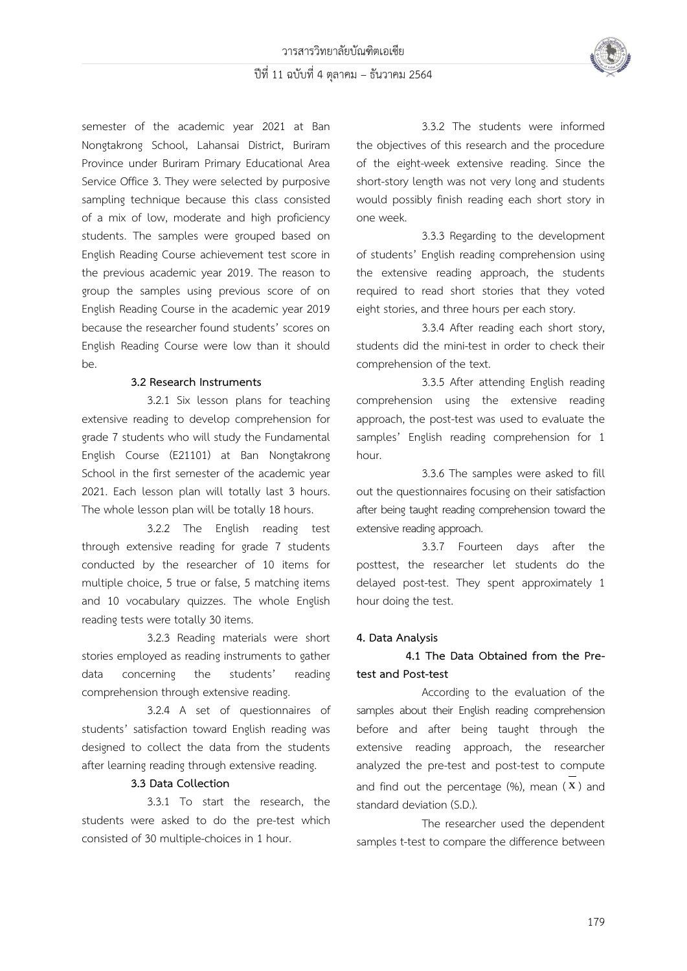

semester of the academic year 2021 at Ban Nongtakrong School, Lahansai District, Buriram Province under Buriram Primary Educational Area Service Office 3. They were selected by purposive sampling technique because this class consisted of a mix of low, moderate and high proficiency students. The samples were grouped based on English Reading Course achievement test score in the previous academic year 2019. The reason to group the samples using previous score of on English Reading Course in the academic year 2019 because the researcher found students' scores on English Reading Course were low than it should be.

### **3.2 Research Instruments**

3.2.1 Six lesson plans for teaching extensive reading to develop comprehension for grade 7 students who will study the Fundamental English Course (E21101) at Ban Nongtakrong School in the first semester of the academic year 2021. Each lesson plan will totally last 3 hours. The whole lesson plan will be totally 18 hours.

3.2.2 The English reading test through extensive reading for grade 7 students conducted by the researcher of 10 items for multiple choice, 5 true or false, 5 matching items and 10 vocabulary quizzes. The whole English reading tests were totally 30 items.

3.2.3 Reading materials were short stories employed as reading instruments to gather data concerning the students' reading comprehension through extensive reading.

3.2.4 A set of questionnaires of students' satisfaction toward English reading was designed to collect the data from the students after learning reading through extensive reading.

#### **3.3 Data Collection**

3.3.1 To start the research, the students were asked to do the pre-test which consisted of 30 multiple-choices in 1 hour.

3.3.2 The students were informed the objectives of this research and the procedure of the eight-week extensive reading. Since the short-story length was not very long and students would possibly finish reading each short story in one week.

3.3.3 Regarding to the development of students' English reading comprehension using the extensive reading approach, the students required to read short stories that they voted eight stories, and three hours per each story.

3.3.4 After reading each short story, students did the mini-test in order to check their comprehension of the text.

3.3.5 After attending English reading comprehension using the extensive reading approach, the post-test was used to evaluate the samples' English reading comprehension for 1 hour.

3.3.6 The samples were asked to fill out the questionnaires focusing on their satisfaction after being taught reading comprehension toward the extensive reading approach.

3.3.7 Fourteen days after the posttest, the researcher let students do the delayed post-test. They spent approximately 1 hour doing the test.

### **4. Data Analysis**

## **4.1 The Data Obtained from the Pretest and Post-test**

According to the evaluation of the samples about their English reading comprehension before and after being taught through the extensive reading approach, the researcher analyzed the pre-test and post-test to compute and find out the percentage  $(\%)$ , mean  $(X)$  and standard deviation (S.D.).

The researcher used the dependent samples t-test to compare the difference between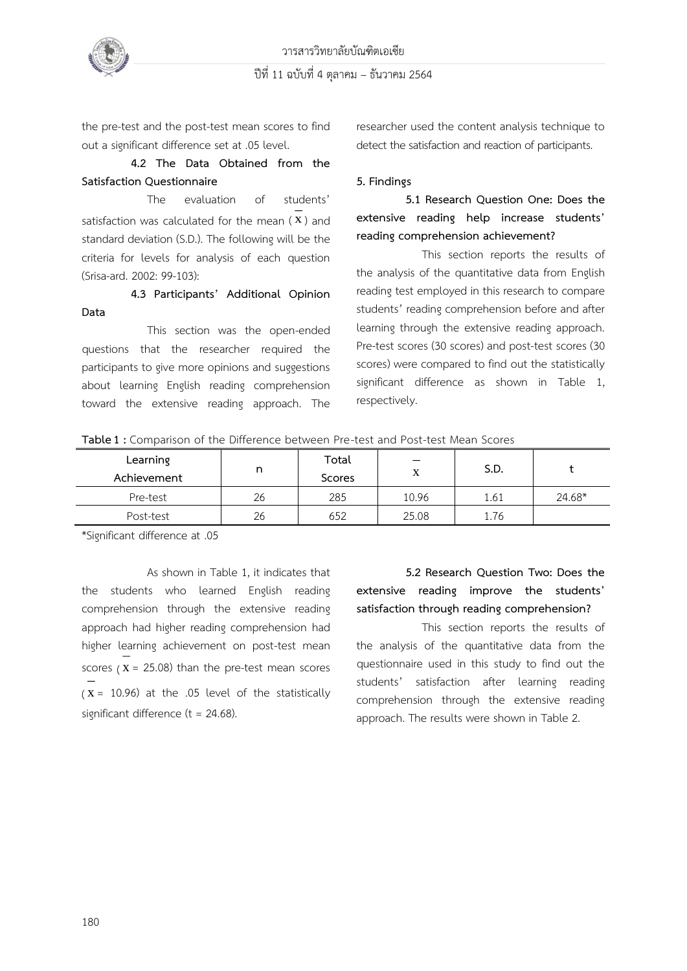

the pre-test and the post-test mean scores to find out a significant difference set at .05 level.

**4.2 The Data Obtained from the Satisfaction Questionnaire**

The evaluation of students' satisfaction was calculated for the mean  $(X)$  and standard deviation (S.D.). The following will be the criteria for levels for analysis of each question (Srisa-ard. 2002: 99-103):

**4.3 Participants' Additional Opinion Data** 

This section was the open-ended questions that the researcher required the participants to give more opinions and suggestions about learning English reading comprehension toward the extensive reading approach. The

researcher used the content analysis technique to detect the satisfaction and reaction of participants.

### **5. Findings**

# **5.1 Research Question One: Does the extensive reading help increase students' reading comprehension achievement?**

This section reports the results of the analysis of the quantitative data from English reading test employed in this research to compare students' reading comprehension before and after learning through the extensive reading approach. Pre-test scores (30 scores) and post-test scores (30 scores) were compared to find out the statistically significant difference as shown in Table 1, respectively.

| <b>able I</b> . Companson or the binefence between PTE-test and POSt-test Mean SCOTES |    |        |       |      |        |  |
|---------------------------------------------------------------------------------------|----|--------|-------|------|--------|--|
| Learning                                                                              |    | Total  |       | S.D. |        |  |
| Achievement                                                                           |    | Scores |       |      |        |  |
| Pre-test                                                                              | 26 | 285    | 10.96 | 1.61 | 24.68* |  |
| Post-test                                                                             | 26 | 652    | 25.08 | 1.76 |        |  |

**Table1 :** Comparison of the Difference between Pre-test and Post-test Mean Scores

\*Significant difference at .05

As shown in Table 1, it indicates that the students who learned English reading comprehension through the extensive reading approach had higher reading comprehension had higher learning achievement on post-test mean scores  $(X = 25.08)$  than the pre-test mean scores (  $(X = 10.96)$  at the .05 level of the statistically significant difference ( $t = 24.68$ ).

**5.2 Research Question Two: Does the extensive reading improve the students' satisfaction through reading comprehension?** 

This section reports the results of the analysis of the quantitative data from the questionnaire used in this study to find out the students' satisfaction after learning reading comprehension through the extensive reading approach. The results were shown in Table 2.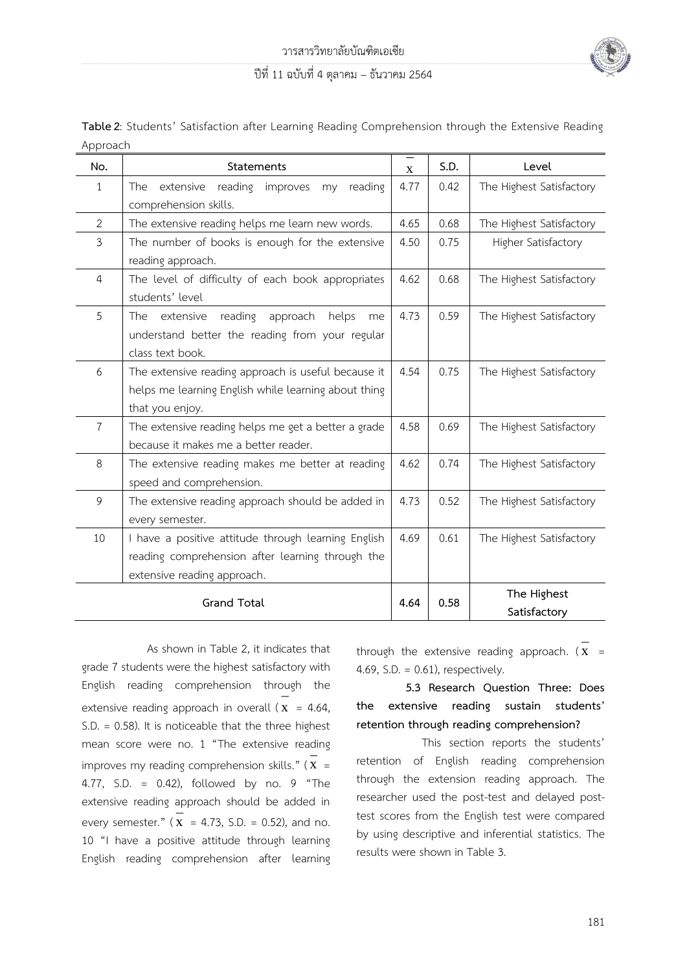

| Table 2: Students' Satisfaction after Learning Reading Comprehension through the Extensive Reading |  |  |  |  |
|----------------------------------------------------------------------------------------------------|--|--|--|--|
| Approach                                                                                           |  |  |  |  |

| No.                | Statements                                                                                                                             | $\mathbf X$ | S.D. | Level                       |  |
|--------------------|----------------------------------------------------------------------------------------------------------------------------------------|-------------|------|-----------------------------|--|
| $\mathbf{1}$       | The extensive reading<br>improves<br>reading<br>my<br>comprehension skills.                                                            | 4.77        | 0.42 | The Highest Satisfactory    |  |
| $\overline{2}$     | The extensive reading helps me learn new words.                                                                                        | 4.65        | 0.68 | The Highest Satisfactory    |  |
| 3                  | The number of books is enough for the extensive<br>reading approach.                                                                   | 4.50        | 0.75 | Higher Satisfactory         |  |
| $\overline{4}$     | The level of difficulty of each book appropriates<br>students' level                                                                   | 4.62        | 0.68 | The Highest Satisfactory    |  |
| 5                  | reading<br>approach<br>extensive<br>helps<br>The<br>me<br>understand better the reading from your regular<br>class text book.          | 4.73        | 0.59 | The Highest Satisfactory    |  |
| 6                  | The extensive reading approach is useful because it<br>helps me learning English while learning about thing<br>that you enjoy.         | 4.54        | 0.75 | The Highest Satisfactory    |  |
| $\overline{7}$     | The extensive reading helps me get a better a grade<br>because it makes me a better reader.                                            | 4.58        | 0.69 | The Highest Satisfactory    |  |
| 8                  | The extensive reading makes me better at reading<br>speed and comprehension.                                                           |             | 0.74 | The Highest Satisfactory    |  |
| 9                  | The extensive reading approach should be added in<br>every semester.                                                                   |             | 0.52 | The Highest Satisfactory    |  |
| 10                 | I have a positive attitude through learning English<br>reading comprehension after learning through the<br>extensive reading approach. | 4.69        | 0.61 | The Highest Satisfactory    |  |
| <b>Grand Total</b> |                                                                                                                                        | 4.64        | 0.58 | The Highest<br>Satisfactory |  |

As shown in Table 2, it indicates that grade 7 students were the highest satisfactory with English reading comprehension through the extensive reading approach in overall  $(x = 4.64,$ S.D. = 0.58). It is noticeable that the three highest mean score were no. 1 "The extensive reading improves my reading comprehension skills."  $(X =$ 4.77, S.D. = 0.42), followed by no. 9 "The extensive reading approach should be added in every semester."  $(X = 4.73, S.D. = 0.52)$ , and no. 10 "I have a positive attitude through learning English reading comprehension after learning

through the extensive reading approach.  $(x =$ 4.69, S.D.  $= 0.61$ ), respectively.

# **5.3 Research Question Three: Does the extensive reading sustain students' retention through reading comprehension?**

This section reports the students' retention of English reading comprehension through the extension reading approach. The researcher used the post-test and delayed posttest scores from the English test were compared by using descriptive and inferential statistics. The results were shown in Table 3.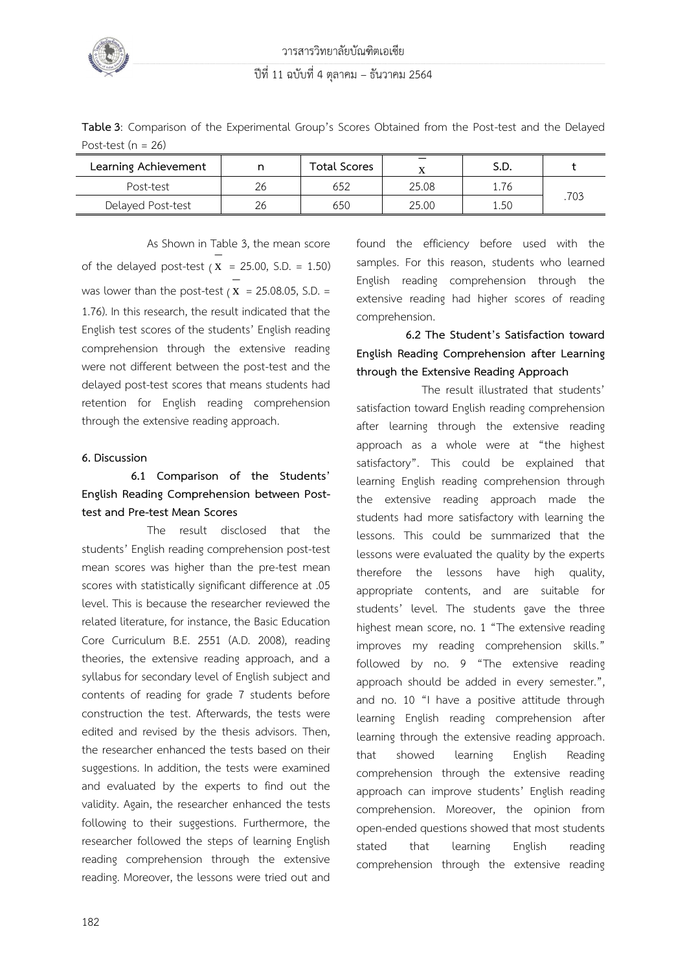

**Table3**: Comparison of the Experimental Group's Scores Obtained from the Post-test and the Delayed Post-test ( $n = 26$ )

| Learning Achievement |    | <b>Total Scores</b> |       | S.D. |      |  |
|----------------------|----|---------------------|-------|------|------|--|
| Post-test            | 26 | 652                 | 25.08 | 1.76 |      |  |
| Delayed Post-test    | 26 | 650                 | 25.00 | 1.50 | .703 |  |

As Shown in Table 3, the mean score of the delayed post-test  $(X = 25.00, S.D. = 1.50)$ was lower than the post-test ( $\mathbf{x}$  = 25.08.05, S.D. = 1.76). In this research, the result indicated that the English test scores of the students' English reading comprehension through the extensive reading were not different between the post-test and the delayed post-test scores that means students had retention for English reading comprehension through the extensive reading approach.

#### **6. Discussion**

# **6.1 Comparison of the Students' English Reading Comprehension between Posttest and Pre-test Mean Scores**

The result disclosed that the students' English reading comprehension post-test mean scores was higher than the pre-test mean scores with statistically significant difference at .05 level. This is because the researcher reviewed the related literature, for instance, the Basic Education Core Curriculum B.E. 2551 (A.D. 2008), reading theories, the extensive reading approach, and a syllabus for secondary level of English subject and contents of reading for grade 7 students before construction the test. Afterwards, the tests were edited and revised by the thesis advisors. Then, the researcher enhanced the tests based on their suggestions. In addition, the tests were examined and evaluated by the experts to find out the validity. Again, the researcher enhanced the tests following to their suggestions. Furthermore, the researcher followed the steps of learning English reading comprehension through the extensive reading. Moreover, the lessons were tried out and

found the efficiency before used with the samples. For this reason, students who learned English reading comprehension through the extensive reading had higher scores of reading comprehension.

# **6.2 The Student's Satisfaction toward English Reading Comprehension after Learning through the Extensive Reading Approach**

The result illustrated that students' satisfaction toward English reading comprehension after learning through the extensive reading approach as a whole were at "the highest satisfactory". This could be explained that learning English reading comprehension through the extensive reading approach made the students had more satisfactory with learning the lessons. This could be summarized that the lessons were evaluated the quality by the experts therefore the lessons have high quality, appropriate contents, and are suitable for students' level. The students gave the three highest mean score, no. 1 "The extensive reading improves my reading comprehension skills." followed by no. 9 "The extensive reading approach should be added in every semester.", and no. 10 "I have a positive attitude through learning English reading comprehension after learning through the extensive reading approach. that showed learning English Reading comprehension through the extensive reading approach can improve students' English reading comprehension. Moreover, the opinion from open-ended questions showed that most students stated that learning English reading comprehension through the extensive reading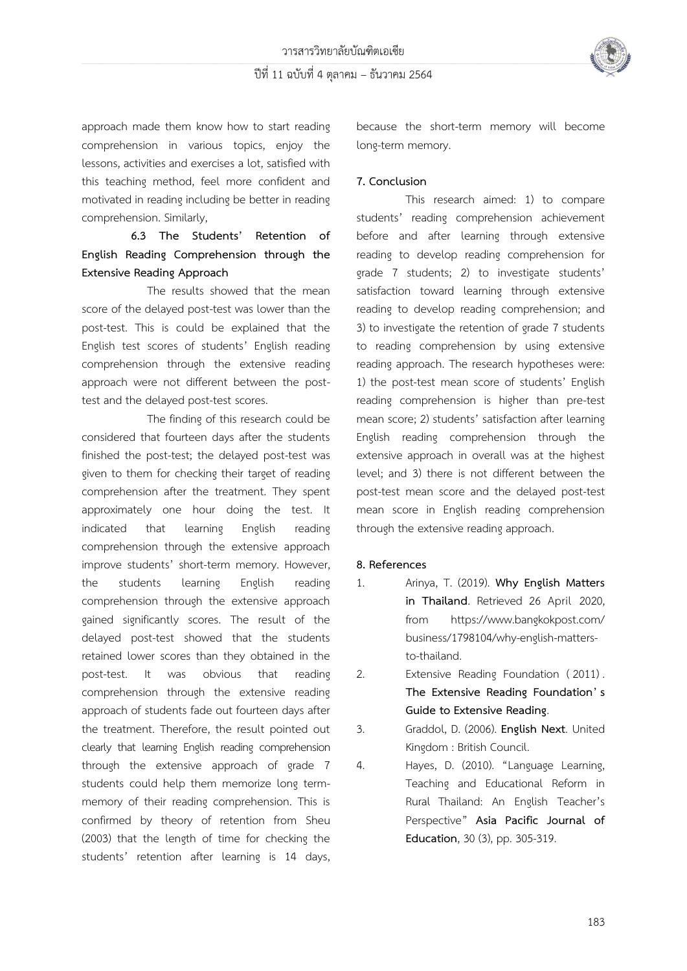

approach made them know how to start reading comprehension in various topics, enjoy the lessons, activities and exercises a lot, satisfied with this teaching method, feel more confident and motivated in reading including be better in reading comprehension. Similarly,

# **6.3 The Students' Retention of English Reading Comprehension through the Extensive Reading Approach**

The results showed that the mean score of the delayed post-test was lower than the post-test. This is could be explained that the English test scores of students' English reading comprehension through the extensive reading approach were not different between the posttest and the delayed post-test scores.

The finding of this research could be considered that fourteen days after the students finished the post-test; the delayed post-test was given to them for checking their target of reading comprehension after the treatment. They spent approximately one hour doing the test. It indicated that learning English reading comprehension through the extensive approach improve students' short-term memory. However, the students learning English reading comprehension through the extensive approach gained significantly scores. The result of the delayed post-test showed that the students retained lower scores than they obtained in the post-test. It was obvious that reading comprehension through the extensive reading approach of students fade out fourteen days after the treatment. Therefore, the result pointed out clearly that learning English reading comprehension through the extensive approach of grade 7 students could help them memorize long termmemory of their reading comprehension. This is confirmed by theory of retention from Sheu (2003) that the length of time for checking the students' retention after learning is 14 days,

because the short-term memory will become long-term memory.

#### **7. Conclusion**

This research aimed: 1) to compare students' reading comprehension achievement before and after learning through extensive reading to develop reading comprehension for grade 7 students; 2) to investigate students' satisfaction toward learning through extensive reading to develop reading comprehension; and 3) to investigate the retention of grade 7 students to reading comprehension by using extensive reading approach. The research hypotheses were: 1) the post-test mean score of students' English reading comprehension is higher than pre-test mean score; 2) students' satisfaction after learning English reading comprehension through the extensive approach in overall was at the highest level; and 3) there is not different between the post-test mean score and the delayed post-test mean score in English reading comprehension through the extensive reading approach.

#### **8. References**

- 1. Arinya, T. (2019). **Why English Matters in Thailand**. Retrieved 26 April 2020, from [https://www.bangkokpost.com/](https://www.bangkokpost.com/business/1798104/why-english-matters-to-thailand) [business/1798104/why-english-matters](https://www.bangkokpost.com/business/1798104/why-english-matters-to-thailand)[to-thailand.](https://www.bangkokpost.com/business/1798104/why-english-matters-to-thailand)
- 2. Extensive Reading Foundation ( 2011) . **The Extensive Reading Foundation' s Guide to Extensive Reading**.
- 3. Graddol, D. (2006). **English Next**. United Kingdom : British Council.
- 4. Hayes, D. (2010). "Language Learning, Teaching and Educational Reform in Rural Thailand: An English Teacher's Perspective" **Asia Pacific Journal of Education**, 30 (3), pp. 305-319.